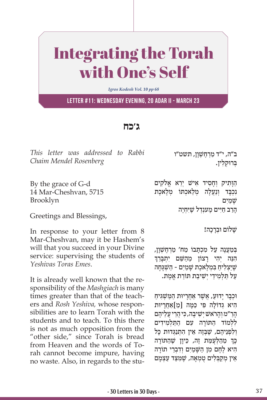## Integrating the Torah with One's Self

*Igros Kodesh Vol. 10 pp 68*

**Letter #11: Wednesday evening, 20 Adar II - March 23**

## **ג'כח**

*This letter was addressed to Rabbi Chaim Mendel Rosenberg* 

By the grace of G-d 14 Mar-Cheshvan, 5715 Brooklyn

Greetings and Blessings,

In response to your letter from 8 Mar-Cheshvan, may it be Hashem's will that you succeed in your Divine service: supervising the students of *Yeshivas Toras Emes*.

It is already well known that the responsibility of the *Mashgiach* is many times greater than that of the teachers and *Rosh Yeshiva,* whose responsibilities are to learn Torah with the students and to teach. To this there is not as much opposition from the "other side," since Torah is bread from Heaven and the words of Torah cannot become impure, having no waste. Also, in regards to the stuב"ה, י"ד מַרְחֱשָׁוַן, תשט"ו ַבְּרוּקלין.

הַוּתִיק וְחַסִיד אִישׁ יְרֵא אֱלֹקִים נכבד ונעלה מלאכתו מלאכת שָׁ ַמִים הרב חיים מענדל שֵׁיּחִיֵה

שלום וּבִרְכה!

בְּמַעֲנָה עַל מְכָתַבוֹ מֵח׳ מַרְחֵשָׁוַן, הִנָּה יְהִי רַצוֹן מֵהַשֵּׁם יִתְבַּרֵךְ שֶׁיַצְלִיהַ בִּמְלֶאכֶת שָׁמַיִם - הַשְׁגָּחָה ַעֲל תַּלְמִידֵי יְשִׁיבַת תּוֹרַת אֱמֶת.

ּוּכְבָר יַדוּעַ, אֲשֶׁר אַחֲרָיוּת הַמַּשְׁגִּיחַ הִיא גִדוֹלַה פִּי כַּמַּה [מֵ]אַחֲרַיוּת ָהַר "מ וְהָרֹאשׁ יִשִׁיבָה, כִּי הֲרֵי עֲלֵיהֶם ללמוֹד התּוֹרה עם התלמידים ולפניהם, שִׁבּזה אין התנגדוּת כּל ְכְּךְ מֵהַלְעָמַת זֶה, כֵּיוָן שֶׁהַתּוֹרָה היא לְחֵם מן השִׁמים וִדְבְרֵי תּוֹרה ְאֵין מִקַבְּלִים טִמְאַה, שֵׁמְצַד עַצָמַם